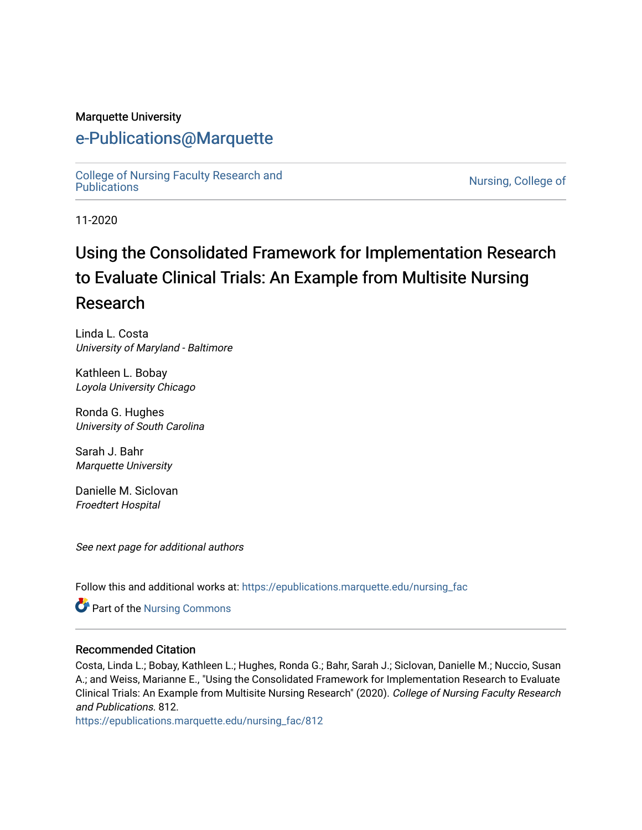#### Marquette University

# [e-Publications@Marquette](https://epublications.marquette.edu/)

[College of Nursing Faculty Research and](https://epublications.marquette.edu/nursing_fac)<br>Publications

Nursing, College of

11-2020

# Using the Consolidated Framework for Implementation Research to Evaluate Clinical Trials: An Example from Multisite Nursing Research

Linda L. Costa University of Maryland - Baltimore

Kathleen L. Bobay Loyola University Chicago

Ronda G. Hughes University of South Carolina

Sarah J. Bahr Marquette University

Danielle M. Siclovan Froedtert Hospital

See next page for additional authors

Follow this and additional works at: [https://epublications.marquette.edu/nursing\\_fac](https://epublications.marquette.edu/nursing_fac?utm_source=epublications.marquette.edu%2Fnursing_fac%2F812&utm_medium=PDF&utm_campaign=PDFCoverPages)

Part of the [Nursing Commons](http://network.bepress.com/hgg/discipline/718?utm_source=epublications.marquette.edu%2Fnursing_fac%2F812&utm_medium=PDF&utm_campaign=PDFCoverPages) 

#### Recommended Citation

Costa, Linda L.; Bobay, Kathleen L.; Hughes, Ronda G.; Bahr, Sarah J.; Siclovan, Danielle M.; Nuccio, Susan A.; and Weiss, Marianne E., "Using the Consolidated Framework for Implementation Research to Evaluate Clinical Trials: An Example from Multisite Nursing Research" (2020). College of Nursing Faculty Research and Publications. 812.

[https://epublications.marquette.edu/nursing\\_fac/812](https://epublications.marquette.edu/nursing_fac/812?utm_source=epublications.marquette.edu%2Fnursing_fac%2F812&utm_medium=PDF&utm_campaign=PDFCoverPages)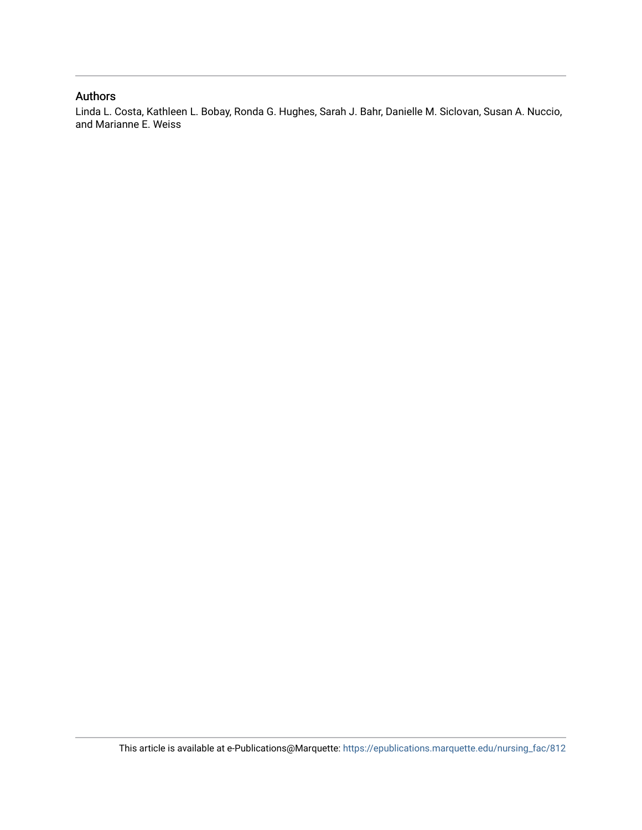#### Authors

Linda L. Costa, Kathleen L. Bobay, Ronda G. Hughes, Sarah J. Bahr, Danielle M. Siclovan, Susan A. Nuccio, and Marianne E. Weiss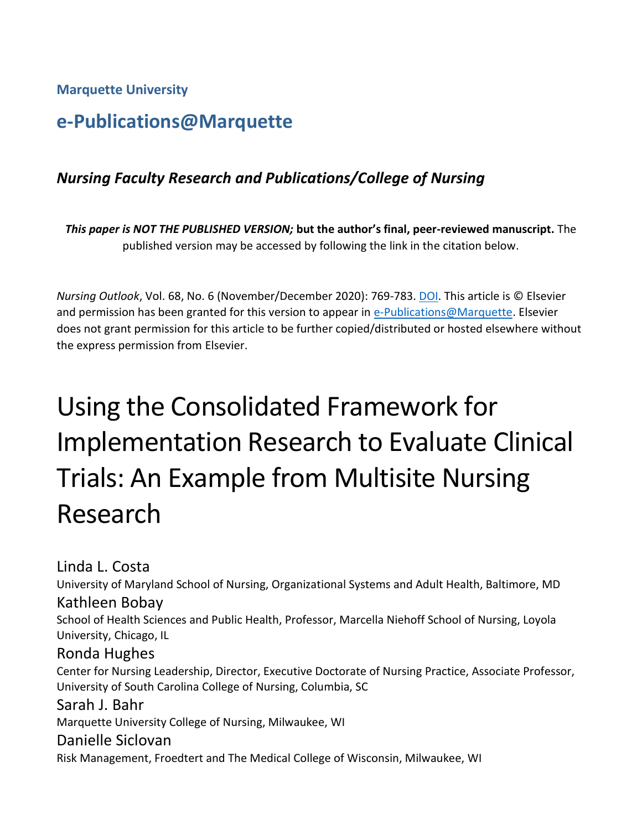**Marquette University**

# **e-Publications@Marquette**

# *Nursing Faculty Research and Publications/College of Nursing*

*This paper is NOT THE PUBLISHED VERSION;* **but the author's final, peer-reviewed manuscript.** The published version may be accessed by following the link in the citation below.

*Nursing Outlook*, Vol. 68, No. 6 (November/December 2020): 769-783[. DOI.](https://doi.org/10.1016/j.outlook.2020.07.005) This article is © Elsevier and permission has been granted for this version to appear in [e-Publications@Marquette.](http://epublications.marquette.edu/) Elsevier does not grant permission for this article to be further copied/distributed or hosted elsewhere without the express permission from Elsevier.

# Using the Consolidated Framework for Implementation Research to Evaluate Clinical Trials: An Example from Multisite Nursing Research

Linda L. Costa University of Maryland School of Nursing, Organizational Systems and Adult Health, Baltimore, MD Kathleen Bobay School of Health Sciences and Public Health, Professor, Marcella Niehoff School of Nursing, Loyola University, Chicago, IL Ronda Hughes Center for Nursing Leadership, Director, Executive Doctorate of Nursing Practice, Associate Professor, University of South Carolina College of Nursing, Columbia, SC Sarah J. Bahr Marquette University College of Nursing, Milwaukee, WI Danielle Siclovan

Risk Management, Froedtert and The Medical College of Wisconsin, Milwaukee, WI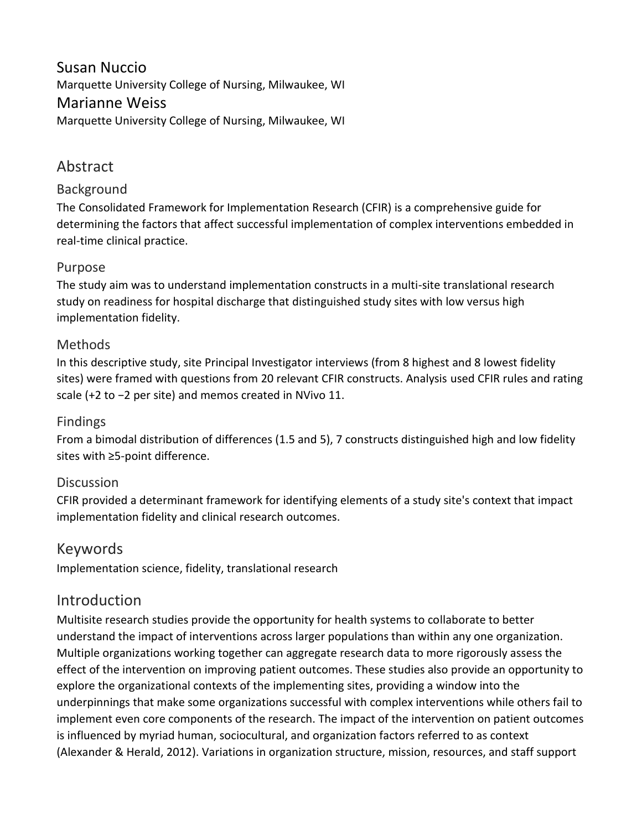# Susan Nuccio Marquette University College of Nursing, Milwaukee, WI Marianne Weiss Marquette University College of Nursing, Milwaukee, WI

# Abstract

#### Background

The Consolidated Framework for Implementation Research (CFIR) is a comprehensive guide for determining the factors that affect successful implementation of complex interventions embedded in real-time clinical practice.

#### Purpose

The study aim was to understand implementation constructs in a multi-site translational research study on readiness for hospital discharge that distinguished study sites with low versus high implementation fidelity.

#### Methods

In this descriptive study, site Principal Investigator interviews (from 8 highest and 8 lowest fidelity sites) were framed with questions from 20 relevant CFIR constructs. Analysis used CFIR rules and rating scale (+2 to −2 per site) and memos created in NVivo 11.

#### Findings

From a bimodal distribution of differences (1.5 and 5), 7 constructs distinguished high and low fidelity sites with ≥5-point difference.

#### **Discussion**

CFIR provided a determinant framework for identifying elements of a study site's context that impact implementation fidelity and clinical research outcomes.

# Keywords

Implementation science, fidelity, translational research

# Introduction

Multisite research studies provide the opportunity for health systems to collaborate to better understand the impact of interventions across larger populations than within any one organization. Multiple organizations working together can aggregate research data to more rigorously assess the effect of the intervention on improving patient outcomes. These studies also provide an opportunity to explore the organizational contexts of the implementing sites, providing a window into the underpinnings that make some organizations successful with complex interventions while others fail to implement even core components of the research. The impact of the intervention on patient outcomes is influenced by myriad human, sociocultural, and organization factors referred to as context (Alexander & Herald, 2012). Variations in organization structure, mission, resources, and staff support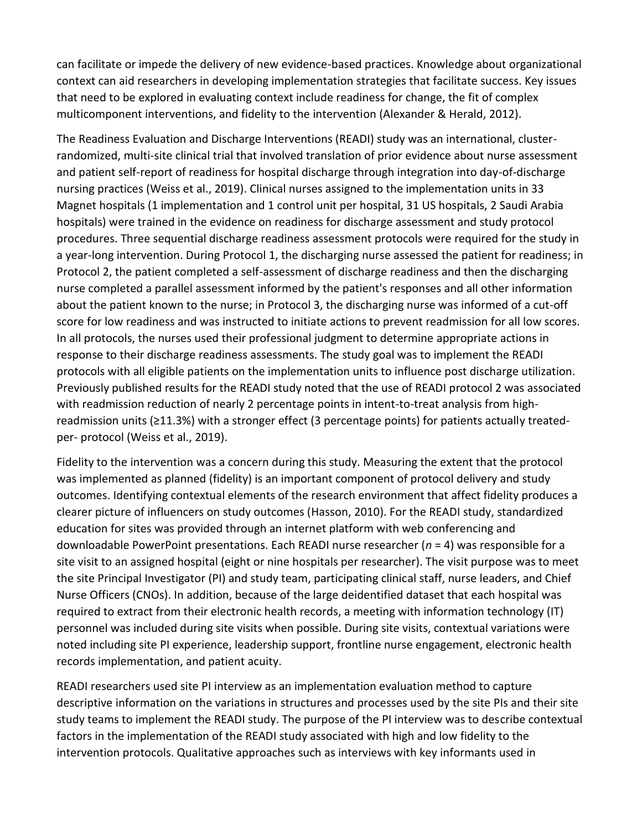can facilitate or impede the delivery of new evidence-based practices. Knowledge about organizational context can aid researchers in developing implementation strategies that facilitate success. Key issues that need to be explored in evaluating context include readiness for change, the fit of complex multicomponent interventions, and fidelity to the intervention (Alexander & Herald, 2012).

The Readiness Evaluation and Discharge Interventions (READI) study was an international, clusterrandomized, multi-site clinical trial that involved translation of prior evidence about nurse assessment and patient self-report of readiness for hospital discharge through integration into day-of-discharge nursing practices (Weiss et al., 2019). Clinical nurses assigned to the implementation units in 33 Magnet hospitals (1 implementation and 1 control unit per hospital, 31 US hospitals, 2 Saudi Arabia hospitals) were trained in the evidence on readiness for discharge assessment and study protocol procedures. Three sequential discharge readiness assessment protocols were required for the study in a year-long intervention. During Protocol 1, the discharging nurse assessed the patient for readiness; in Protocol 2, the patient completed a self-assessment of discharge readiness and then the discharging nurse completed a parallel assessment informed by the patient's responses and all other information about the patient known to the nurse; in Protocol 3, the discharging nurse was informed of a cut-off score for low readiness and was instructed to initiate actions to prevent readmission for all low scores. In all protocols, the nurses used their professional judgment to determine appropriate actions in response to their discharge readiness assessments. The study goal was to implement the READI protocols with all eligible patients on the implementation units to influence post discharge utilization. Previously published results for the READI study noted that the use of READI protocol 2 was associated with readmission reduction of nearly 2 percentage points in intent-to-treat analysis from highreadmission units (≥11.3%) with a stronger effect (3 percentage points) for patients actually treatedper- protocol (Weiss et al., 2019).

Fidelity to the intervention was a concern during this study. Measuring the extent that the protocol was implemented as planned (fidelity) is an important component of protocol delivery and study outcomes. Identifying contextual elements of the research environment that affect fidelity produces a clearer picture of influencers on study outcomes (Hasson, 2010). For the READI study, standardized education for sites was provided through an internet platform with web conferencing and downloadable PowerPoint presentations. Each READI nurse researcher (*n* = 4) was responsible for a site visit to an assigned hospital (eight or nine hospitals per researcher). The visit purpose was to meet the site Principal Investigator (PI) and study team, participating clinical staff, nurse leaders, and Chief Nurse Officers (CNOs). In addition, because of the large deidentified dataset that each hospital was required to extract from their electronic health records, a meeting with information technology (IT) personnel was included during site visits when possible. During site visits, contextual variations were noted including site PI experience, leadership support, frontline nurse engagement, electronic health records implementation, and patient acuity.

READI researchers used site PI interview as an implementation evaluation method to capture descriptive information on the variations in structures and processes used by the site PIs and their site study teams to implement the READI study. The purpose of the PI interview was to describe contextual factors in the implementation of the READI study associated with high and low fidelity to the intervention protocols. Qualitative approaches such as interviews with key informants used in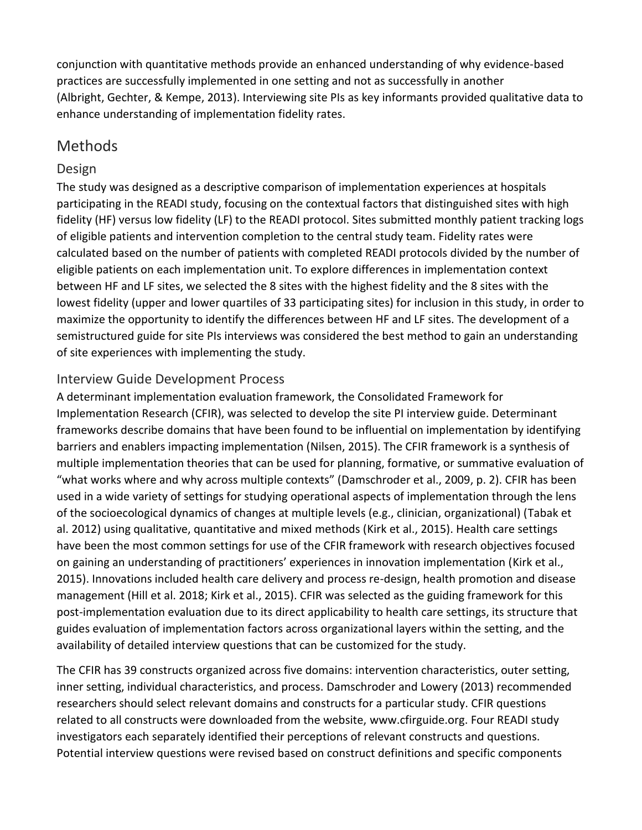conjunction with quantitative methods provide an enhanced understanding of why evidence-based practices are successfully implemented in one setting and not as successfully in another (Albright, Gechter, & Kempe, 2013). Interviewing site PIs as key informants provided qualitative data to enhance understanding of implementation fidelity rates.

# Methods

# Design

The study was designed as a descriptive comparison of implementation experiences at hospitals participating in the READI study, focusing on the contextual factors that distinguished sites with high fidelity (HF) versus low fidelity (LF) to the READI protocol. Sites submitted monthly patient tracking logs of eligible patients and intervention completion to the central study team. Fidelity rates were calculated based on the number of patients with completed READI protocols divided by the number of eligible patients on each implementation unit. To explore differences in implementation context between HF and LF sites, we selected the 8 sites with the highest fidelity and the 8 sites with the lowest fidelity (upper and lower quartiles of 33 participating sites) for inclusion in this study, in order to maximize the opportunity to identify the differences between HF and LF sites. The development of a semistructured guide for site PIs interviews was considered the best method to gain an understanding of site experiences with implementing the study.

# Interview Guide Development Process

A determinant implementation evaluation framework, the Consolidated Framework for Implementation Research (CFIR), was selected to develop the site PI interview guide. Determinant frameworks describe domains that have been found to be influential on implementation by identifying barriers and enablers impacting implementation (Nilsen, 2015). The CFIR framework is a synthesis of multiple implementation theories that can be used for planning, formative, or summative evaluation of "what works where and why across multiple contexts" (Damschroder et al., 2009, p. 2). CFIR has been used in a wide variety of settings for studying operational aspects of implementation through the lens of the socioecological dynamics of changes at multiple levels (e.g., clinician, organizational) (Tabak et al. 2012) using qualitative, quantitative and mixed methods (Kirk et al., 2015). Health care settings have been the most common settings for use of the CFIR framework with research objectives focused on gaining an understanding of practitioners' experiences in innovation implementation (Kirk et al., 2015). Innovations included health care delivery and process re-design, health promotion and disease management (Hill et al. 2018; Kirk et al., 2015). CFIR was selected as the guiding framework for this post-implementation evaluation due to its direct applicability to health care settings, its structure that guides evaluation of implementation factors across organizational layers within the setting, and the availability of detailed interview questions that can be customized for the study.

The CFIR has 39 constructs organized across five domains: intervention characteristics, outer setting, inner setting, individual characteristics, and process. Damschroder and Lowery (2013) recommended researchers should select relevant domains and constructs for a particular study. CFIR questions related to all constructs were downloaded from the website, www.cfirguide.org. Four READI study investigators each separately identified their perceptions of relevant constructs and questions. Potential interview questions were revised based on construct definitions and specific components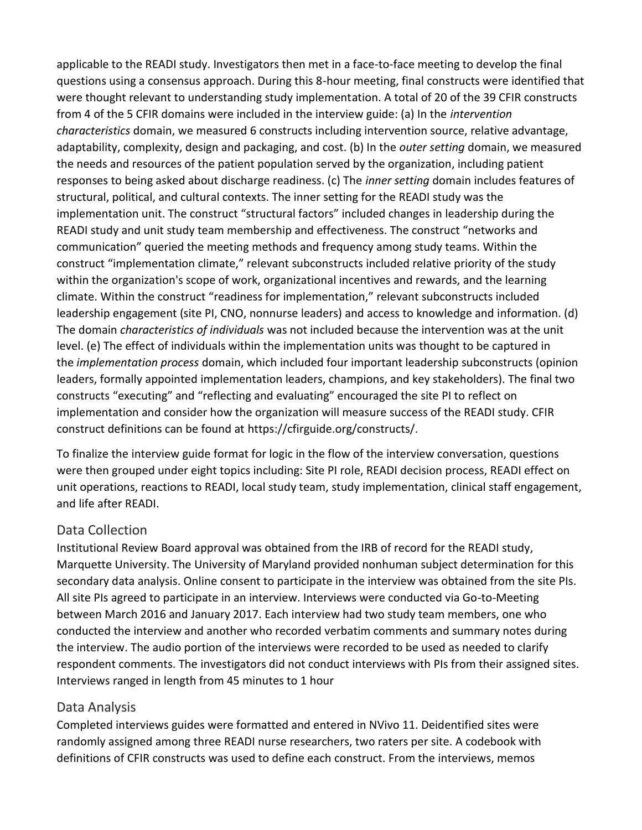applicable to the READI study. Investigators then met in a face-to-face meeting to develop the final questions using a consensus approach. During this 8-hour meeting, final constructs were identified that were thought relevant to understanding study implementation. A total of 20 of the 39 CFIR constructs from 4 of the 5 CFIR domains were included in the interview guide: (a) In the *intervention characteristics* domain, we measured 6 constructs including intervention source, relative advantage, adaptability, complexity, design and packaging, and cost. (b) In the *outer setting* domain, we measured the needs and resources of the patient population served by the organization, including patient responses to being asked about discharge readiness. (c) The *inner setting* domain includes features of structural, political, and cultural contexts. The inner setting for the READI study was the implementation unit. The construct "structural factors" included changes in leadership during the READI study and unit study team membership and effectiveness. The construct "networks and communication" queried the meeting methods and frequency among study teams. Within the construct "implementation climate," relevant subconstructs included relative priority of the study within the organization's scope of work, organizational incentives and rewards, and the learning climate. Within the construct "readiness for implementation," relevant subconstructs included leadership engagement (site PI, CNO, nonnurse leaders) and access to knowledge and information. (d) The domain *characteristics of individuals* was not included because the intervention was at the unit level. (e) The effect of individuals within the implementation units was thought to be captured in the *implementation process* domain, which included four important leadership subconstructs (opinion leaders, formally appointed implementation leaders, champions, and key stakeholders). The final two constructs "executing" and "reflecting and evaluating" encouraged the site PI to reflect on implementation and consider how the organization will measure success of the READI study. CFIR construct definitions can be found at https://cfirguide.org/constructs/.

To finalize the interview guide format for logic in the flow of the interview conversation, questions were then grouped under eight topics including: Site PI role, READI decision process, READI effect on unit operations, reactions to READI, local study team, study implementation, clinical staff engagement, and life after READI.

#### Data Collection

Institutional Review Board approval was obtained from the IRB of record for the READI study, Marquette University. The University of Maryland provided nonhuman subject determination for this secondary data analysis. Online consent to participate in the interview was obtained from the site PIs. All site PIs agreed to participate in an interview. Interviews were conducted via Go-to-Meeting between March 2016 and January 2017. Each interview had two study team members, one who conducted the interview and another who recorded verbatim comments and summary notes during the interview. The audio portion of the interviews were recorded to be used as needed to clarify respondent comments. The investigators did not conduct interviews with PIs from their assigned sites. Interviews ranged in length from 45 minutes to 1 hour

#### Data Analysis

Completed interviews guides were formatted and entered in NVivo 11. Deidentified sites were randomly assigned among three READI nurse researchers, two raters per site. A codebook with definitions of CFIR constructs was used to define each construct. From the interviews, memos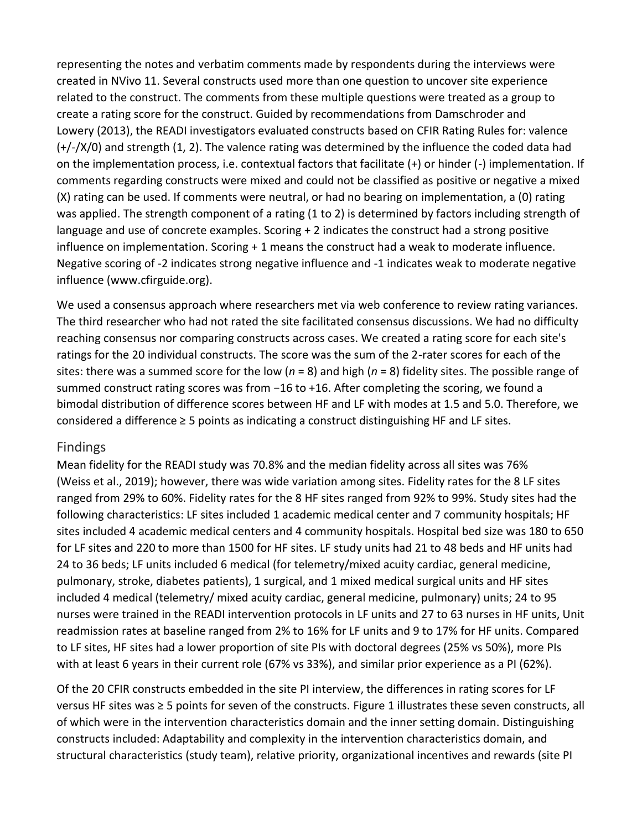representing the notes and verbatim comments made by respondents during the interviews were created in NVivo 11. Several constructs used more than one question to uncover site experience related to the construct. The comments from these multiple questions were treated as a group to create a rating score for the construct. Guided by recommendations from Damschroder and Lowery (2013), the READI investigators evaluated constructs based on CFIR Rating Rules for: valence  $(+/-/X/0)$  and strength (1, 2). The valence rating was determined by the influence the coded data had on the implementation process, i.e. contextual factors that facilitate (+) or hinder (-) implementation. If comments regarding constructs were mixed and could not be classified as positive or negative a mixed (X) rating can be used. If comments were neutral, or had no bearing on implementation, a (0) rating was applied. The strength component of a rating (1 to 2) is determined by factors including strength of language and use of concrete examples. Scoring + 2 indicates the construct had a strong positive influence on implementation. Scoring + 1 means the construct had a weak to moderate influence. Negative scoring of -2 indicates strong negative influence and -1 indicates weak to moderate negative influence (www.cfirguide.org).

We used a consensus approach where researchers met via web conference to review rating variances. The third researcher who had not rated the site facilitated consensus discussions. We had no difficulty reaching consensus nor comparing constructs across cases. We created a rating score for each site's ratings for the 20 individual constructs. The score was the sum of the 2-rater scores for each of the sites: there was a summed score for the low (*n* = 8) and high (*n* = 8) fidelity sites. The possible range of summed construct rating scores was from −16 to +16. After completing the scoring, we found a bimodal distribution of difference scores between HF and LF with modes at 1.5 and 5.0. Therefore, we considered a difference ≥ 5 points as indicating a construct distinguishing HF and LF sites.

#### Findings

Mean fidelity for the READI study was 70.8% and the median fidelity across all sites was 76% (Weiss et al., 2019); however, there was wide variation among sites. Fidelity rates for the 8 LF sites ranged from 29% to 60%. Fidelity rates for the 8 HF sites ranged from 92% to 99%. Study sites had the following characteristics: LF sites included 1 academic medical center and 7 community hospitals; HF sites included 4 academic medical centers and 4 community hospitals. Hospital bed size was 180 to 650 for LF sites and 220 to more than 1500 for HF sites. LF study units had 21 to 48 beds and HF units had 24 to 36 beds; LF units included 6 medical (for telemetry/mixed acuity cardiac, general medicine, pulmonary, stroke, diabetes patients), 1 surgical, and 1 mixed medical surgical units and HF sites included 4 medical (telemetry/ mixed acuity cardiac, general medicine, pulmonary) units; 24 to 95 nurses were trained in the READI intervention protocols in LF units and 27 to 63 nurses in HF units, Unit readmission rates at baseline ranged from 2% to 16% for LF units and 9 to 17% for HF units. Compared to LF sites, HF sites had a lower proportion of site PIs with doctoral degrees (25% vs 50%), more PIs with at least 6 years in their current role (67% vs 33%), and similar prior experience as a PI (62%).

Of the 20 CFIR constructs embedded in the site PI interview, the differences in rating scores for LF versus HF sites was ≥ 5 points for seven of the constructs. Figure 1 illustrates these seven constructs, all of which were in the intervention characteristics domain and the inner setting domain. Distinguishing constructs included: Adaptability and complexity in the intervention characteristics domain, and structural characteristics (study team), relative priority, organizational incentives and rewards (site PI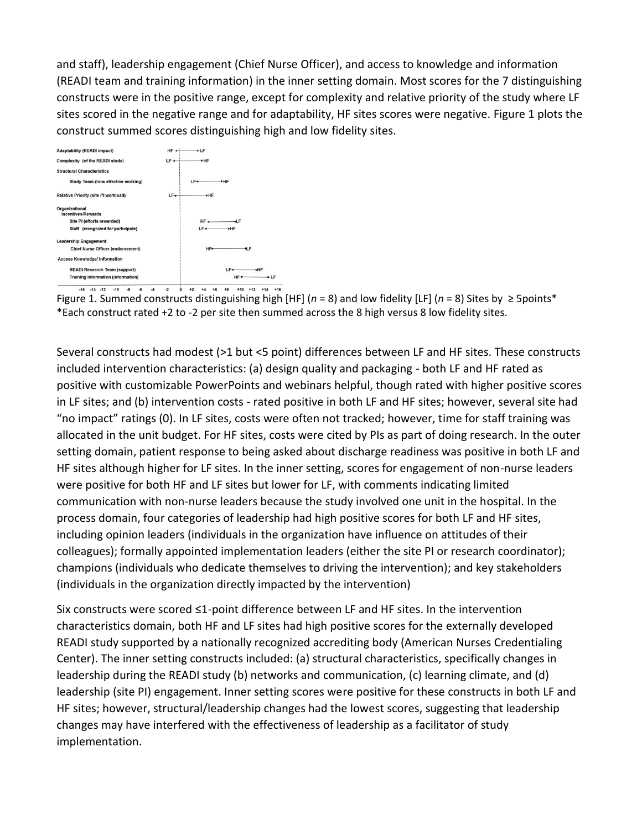and staff), leadership engagement (Chief Nurse Officer), and access to knowledge and information (READI team and training information) in the inner setting domain. Most scores for the 7 distinguishing constructs were in the positive range, except for complexity and relative priority of the study where LF sites scored in the negative range and for adaptability, HF sites scores were negative. Figure 1 plots the construct summed scores distinguishing high and low fidelity sites.



Figure 1. Summed constructs distinguishing high [HF] (*n* = 8) and low fidelity [LF] (*n* = 8) Sites by ≥ 5points\* \*Each construct rated +2 to -2 per site then summed across the 8 high versus 8 low fidelity sites.

Several constructs had modest (>1 but <5 point) differences between LF and HF sites. These constructs included intervention characteristics: (a) design quality and packaging - both LF and HF rated as positive with customizable PowerPoints and webinars helpful, though rated with higher positive scores in LF sites; and (b) intervention costs - rated positive in both LF and HF sites; however, several site had "no impact" ratings (0). In LF sites, costs were often not tracked; however, time for staff training was allocated in the unit budget. For HF sites, costs were cited by PIs as part of doing research. In the outer setting domain, patient response to being asked about discharge readiness was positive in both LF and HF sites although higher for LF sites. In the inner setting, scores for engagement of non-nurse leaders were positive for both HF and LF sites but lower for LF, with comments indicating limited communication with non-nurse leaders because the study involved one unit in the hospital. In the process domain, four categories of leadership had high positive scores for both LF and HF sites, including opinion leaders (individuals in the organization have influence on attitudes of their colleagues); formally appointed implementation leaders (either the site PI or research coordinator); champions (individuals who dedicate themselves to driving the intervention); and key stakeholders (individuals in the organization directly impacted by the intervention)

Six constructs were scored ≤1-point difference between LF and HF sites. In the intervention characteristics domain, both HF and LF sites had high positive scores for the externally developed READI study supported by a nationally recognized accrediting body (American Nurses Credentialing Center). The inner setting constructs included: (a) structural characteristics, specifically changes in leadership during the READI study (b) networks and communication, (c) learning climate, and (d) leadership (site PI) engagement. Inner setting scores were positive for these constructs in both LF and HF sites; however, structural/leadership changes had the lowest scores, suggesting that leadership changes may have interfered with the effectiveness of leadership as a facilitator of study implementation.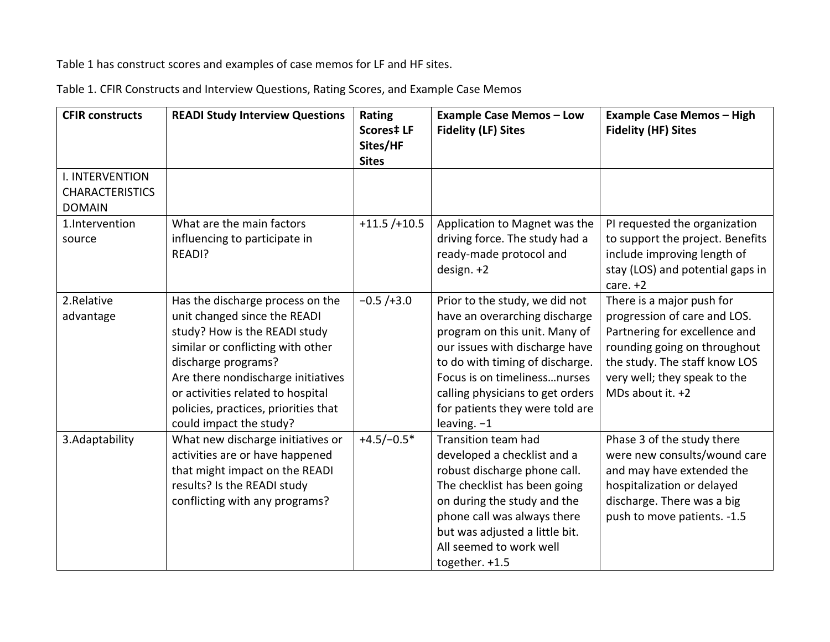Table 1 has construct scores and examples of case memos for LF and HF sites.

Table 1. CFIR Constructs and Interview Questions, Rating Scores, and Example Case Memos

| <b>CFIR constructs</b>                                     | <b>READI Study Interview Questions</b>                                                                                                                                                                                                                                                                      | Rating<br>Scores#LF | <b>Example Case Memos - Low</b><br><b>Fidelity (LF) Sites</b>                                                                                                                                                                                                                                 | <b>Example Case Memos - High</b><br><b>Fidelity (HF) Sites</b>                                                                                                                                                  |
|------------------------------------------------------------|-------------------------------------------------------------------------------------------------------------------------------------------------------------------------------------------------------------------------------------------------------------------------------------------------------------|---------------------|-----------------------------------------------------------------------------------------------------------------------------------------------------------------------------------------------------------------------------------------------------------------------------------------------|-----------------------------------------------------------------------------------------------------------------------------------------------------------------------------------------------------------------|
|                                                            |                                                                                                                                                                                                                                                                                                             | Sites/HF            |                                                                                                                                                                                                                                                                                               |                                                                                                                                                                                                                 |
| I. INTERVENTION<br><b>CHARACTERISTICS</b><br><b>DOMAIN</b> |                                                                                                                                                                                                                                                                                                             | <b>Sites</b>        |                                                                                                                                                                                                                                                                                               |                                                                                                                                                                                                                 |
| 1.Intervention<br>source                                   | What are the main factors<br>influencing to participate in<br>READI?                                                                                                                                                                                                                                        | $+11.5/+10.5$       | Application to Magnet was the<br>driving force. The study had a<br>ready-made protocol and<br>design. $+2$                                                                                                                                                                                    | PI requested the organization<br>to support the project. Benefits<br>include improving length of<br>stay (LOS) and potential gaps in<br>$care. +2$                                                              |
| 2.Relative<br>advantage                                    | Has the discharge process on the<br>unit changed since the READI<br>study? How is the READI study<br>similar or conflicting with other<br>discharge programs?<br>Are there nondischarge initiatives<br>or activities related to hospital<br>policies, practices, priorities that<br>could impact the study? | $-0.5 / +3.0$       | Prior to the study, we did not<br>have an overarching discharge<br>program on this unit. Many of<br>our issues with discharge have<br>to do with timing of discharge.<br>Focus is on timelinessnurses<br>calling physicians to get orders<br>for patients they were told are<br>leaving. $-1$ | There is a major push for<br>progression of care and LOS.<br>Partnering for excellence and<br>rounding going on throughout<br>the study. The staff know LOS<br>very well; they speak to the<br>MDs about it. +2 |
| 3.Adaptability                                             | What new discharge initiatives or<br>activities are or have happened<br>that might impact on the READI<br>results? Is the READI study<br>conflicting with any programs?                                                                                                                                     | $+4.5/-0.5*$        | <b>Transition team had</b><br>developed a checklist and a<br>robust discharge phone call.<br>The checklist has been going<br>on during the study and the<br>phone call was always there<br>but was adjusted a little bit.<br>All seemed to work well<br>together. +1.5                        | Phase 3 of the study there<br>were new consults/wound care<br>and may have extended the<br>hospitalization or delayed<br>discharge. There was a big<br>push to move patients. -1.5                              |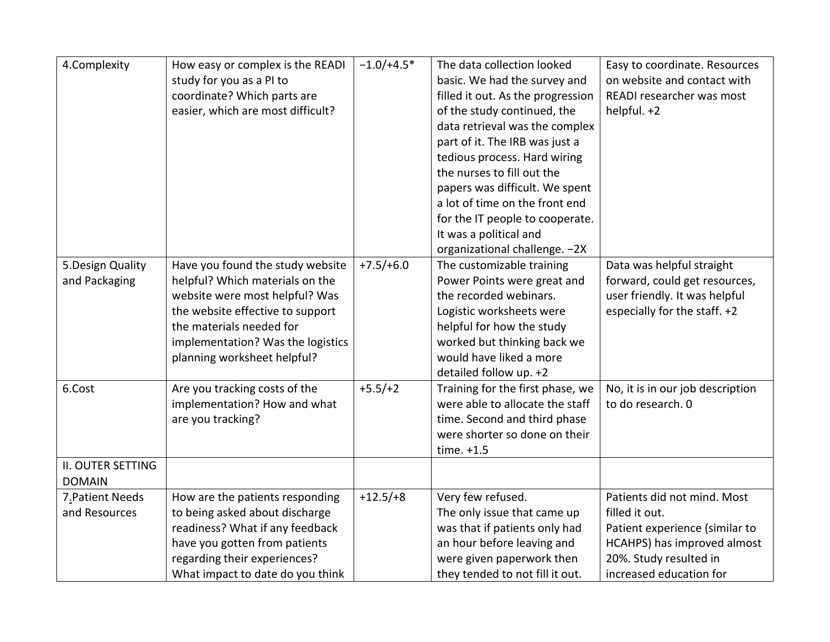| 4.Complexity             | How easy or complex is the READI  | $-1.0/+4.5*$ | The data collection looked        | Easy to coordinate. Resources    |
|--------------------------|-----------------------------------|--------------|-----------------------------------|----------------------------------|
|                          | study for you as a PI to          |              | basic. We had the survey and      | on website and contact with      |
|                          | coordinate? Which parts are       |              | filled it out. As the progression | READI researcher was most        |
|                          | easier, which are most difficult? |              | of the study continued, the       | helpful. +2                      |
|                          |                                   |              |                                   |                                  |
|                          |                                   |              | data retrieval was the complex    |                                  |
|                          |                                   |              | part of it. The IRB was just a    |                                  |
|                          |                                   |              | tedious process. Hard wiring      |                                  |
|                          |                                   |              | the nurses to fill out the        |                                  |
|                          |                                   |              | papers was difficult. We spent    |                                  |
|                          |                                   |              | a lot of time on the front end    |                                  |
|                          |                                   |              | for the IT people to cooperate.   |                                  |
|                          |                                   |              | It was a political and            |                                  |
|                          |                                   |              | organizational challenge. - 2X    |                                  |
| 5. Design Quality        | Have you found the study website  | $+7.5/+6.0$  | The customizable training         | Data was helpful straight        |
| and Packaging            | helpful? Which materials on the   |              | Power Points were great and       | forward, could get resources,    |
|                          | website were most helpful? Was    |              | the recorded webinars.            | user friendly. It was helpful    |
|                          | the website effective to support  |              | Logistic worksheets were          | especially for the staff. +2     |
|                          | the materials needed for          |              | helpful for how the study         |                                  |
|                          | implementation? Was the logistics |              | worked but thinking back we       |                                  |
|                          | planning worksheet helpful?       |              | would have liked a more           |                                  |
|                          |                                   |              | detailed follow up. +2            |                                  |
| 6.Cost                   | Are you tracking costs of the     | $+5.5/+2$    | Training for the first phase, we  | No, it is in our job description |
|                          | implementation? How and what      |              | were able to allocate the staff   | to do research. 0                |
|                          | are you tracking?                 |              | time. Second and third phase      |                                  |
|                          |                                   |              | were shorter so done on their     |                                  |
|                          |                                   |              | $time. +1.5$                      |                                  |
| <b>II. OUTER SETTING</b> |                                   |              |                                   |                                  |
| <b>DOMAIN</b>            |                                   |              |                                   |                                  |
| 7. Patient Needs         | How are the patients responding   | $+12.5/+8$   | Very few refused.                 | Patients did not mind. Most      |
| and Resources            | to being asked about discharge    |              | The only issue that came up       | filled it out.                   |
|                          | readiness? What if any feedback   |              | was that if patients only had     | Patient experience (similar to   |
|                          | have you gotten from patients     |              | an hour before leaving and        | HCAHPS) has improved almost      |
|                          | regarding their experiences?      |              | were given paperwork then         | 20%. Study resulted in           |
|                          | What impact to date do you think  |              | they tended to not fill it out.   | increased education for          |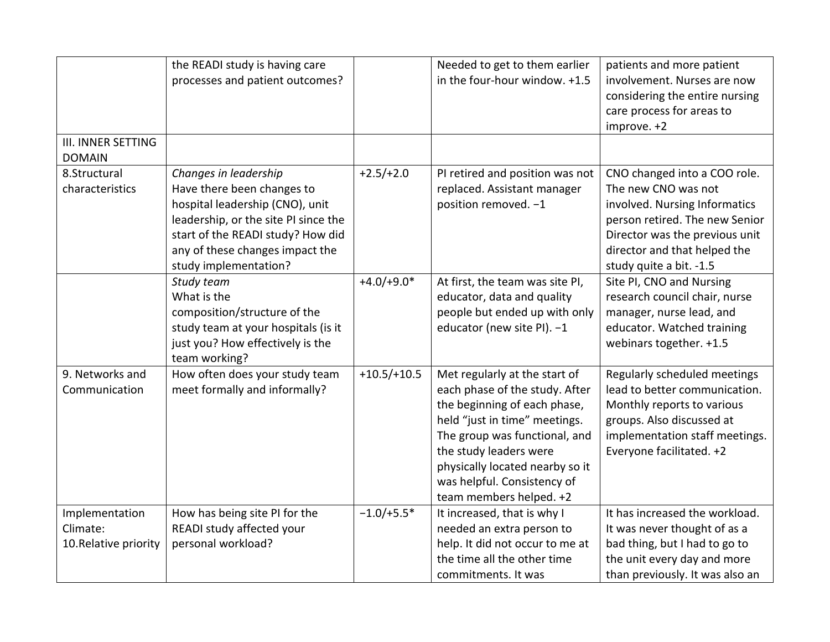|                           | the READI study is having care       |               | Needed to get to them earlier                                  | patients and more patient                |
|---------------------------|--------------------------------------|---------------|----------------------------------------------------------------|------------------------------------------|
|                           | processes and patient outcomes?      |               | in the four-hour window. +1.5                                  | involvement. Nurses are now              |
|                           |                                      |               |                                                                | considering the entire nursing           |
|                           |                                      |               |                                                                | care process for areas to<br>improve. +2 |
| <b>III. INNER SETTING</b> |                                      |               |                                                                |                                          |
| <b>DOMAIN</b>             |                                      |               |                                                                |                                          |
| 8.Structural              | Changes in leadership                | $+2.5/+2.0$   | PI retired and position was not                                | CNO changed into a COO role.             |
| characteristics           | Have there been changes to           |               | replaced. Assistant manager                                    | The new CNO was not                      |
|                           | hospital leadership (CNO), unit      |               | position removed. -1                                           | involved. Nursing Informatics            |
|                           | leadership, or the site PI since the |               |                                                                | person retired. The new Senior           |
|                           | start of the READI study? How did    |               |                                                                | Director was the previous unit           |
|                           | any of these changes impact the      |               |                                                                | director and that helped the             |
|                           | study implementation?                |               |                                                                | study quite a bit. -1.5                  |
|                           | Study team                           | $+4.0/+9.0*$  | At first, the team was site PI,                                | Site PI, CNO and Nursing                 |
|                           | What is the                          |               | educator, data and quality                                     | research council chair, nurse            |
|                           | composition/structure of the         |               | people but ended up with only                                  | manager, nurse lead, and                 |
|                           | study team at your hospitals (is it  |               | educator (new site PI). -1                                     | educator. Watched training               |
|                           | just you? How effectively is the     |               |                                                                | webinars together. +1.5                  |
|                           | team working?                        |               |                                                                |                                          |
| 9. Networks and           | How often does your study team       | $+10.5/+10.5$ | Met regularly at the start of                                  | Regularly scheduled meetings             |
| Communication             | meet formally and informally?        |               | each phase of the study. After                                 | lead to better communication.            |
|                           |                                      |               | the beginning of each phase,                                   | Monthly reports to various               |
|                           |                                      |               | held "just in time" meetings.                                  | groups. Also discussed at                |
|                           |                                      |               | The group was functional, and                                  | implementation staff meetings.           |
|                           |                                      |               | the study leaders were                                         | Everyone facilitated. +2                 |
|                           |                                      |               | physically located nearby so it<br>was helpful. Consistency of |                                          |
|                           |                                      |               | team members helped. +2                                        |                                          |
| Implementation            | How has being site PI for the        | $-1.0/+5.5*$  | It increased, that is why I                                    | It has increased the workload.           |
| Climate:                  | READI study affected your            |               | needed an extra person to                                      | It was never thought of as a             |
| 10. Relative priority     | personal workload?                   |               | help. It did not occur to me at                                | bad thing, but I had to go to            |
|                           |                                      |               | the time all the other time                                    | the unit every day and more              |
|                           |                                      |               | commitments. It was                                            | than previously. It was also an          |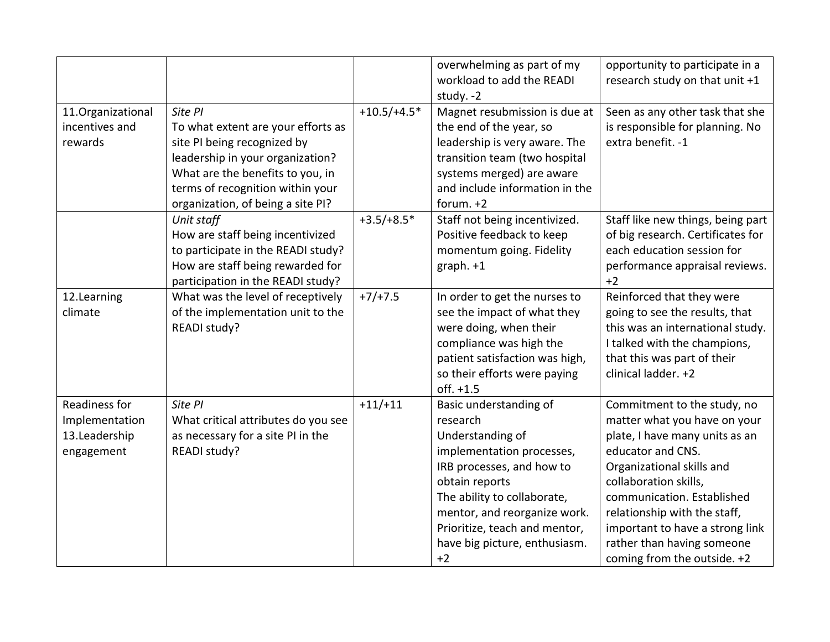|                                                                       |                                                                                                                                                                                                                               |               | overwhelming as part of my<br>workload to add the READI<br>study. - 2                                                                                                                                                                                                       | opportunity to participate in a<br>research study on that unit +1                                                                                                                                                                                                                                                                      |
|-----------------------------------------------------------------------|-------------------------------------------------------------------------------------------------------------------------------------------------------------------------------------------------------------------------------|---------------|-----------------------------------------------------------------------------------------------------------------------------------------------------------------------------------------------------------------------------------------------------------------------------|----------------------------------------------------------------------------------------------------------------------------------------------------------------------------------------------------------------------------------------------------------------------------------------------------------------------------------------|
| 11.Organizational<br>incentives and<br>rewards                        | Site PI<br>To what extent are your efforts as<br>site PI being recognized by<br>leadership in your organization?<br>What are the benefits to you, in<br>terms of recognition within your<br>organization, of being a site PI? | $+10.5/+4.5*$ | Magnet resubmission is due at<br>the end of the year, so<br>leadership is very aware. The<br>transition team (two hospital<br>systems merged) are aware<br>and include information in the<br>forum. $+2$                                                                    | Seen as any other task that she<br>is responsible for planning. No<br>extra benefit. -1                                                                                                                                                                                                                                                |
|                                                                       | Unit staff<br>How are staff being incentivized<br>to participate in the READI study?<br>How are staff being rewarded for<br>participation in the READI study?                                                                 | $+3.5/+8.5*$  | Staff not being incentivized.<br>Positive feedback to keep<br>momentum going. Fidelity<br>$graph. +1$                                                                                                                                                                       | Staff like new things, being part<br>of big research. Certificates for<br>each education session for<br>performance appraisal reviews.<br>$+2$                                                                                                                                                                                         |
| 12.Learning<br>climate                                                | What was the level of receptively<br>of the implementation unit to the<br>READI study?                                                                                                                                        | $+7/+7.5$     | In order to get the nurses to<br>see the impact of what they<br>were doing, when their<br>compliance was high the<br>patient satisfaction was high,<br>so their efforts were paying<br>$off. +1.5$                                                                          | Reinforced that they were<br>going to see the results, that<br>this was an international study.<br>I talked with the champions,<br>that this was part of their<br>clinical ladder. +2                                                                                                                                                  |
| <b>Readiness for</b><br>Implementation<br>13.Leadership<br>engagement | Site PI<br>What critical attributes do you see<br>as necessary for a site PI in the<br>READI study?                                                                                                                           | $+11/+11$     | Basic understanding of<br>research<br>Understanding of<br>implementation processes,<br>IRB processes, and how to<br>obtain reports<br>The ability to collaborate,<br>mentor, and reorganize work.<br>Prioritize, teach and mentor,<br>have big picture, enthusiasm.<br>$+2$ | Commitment to the study, no<br>matter what you have on your<br>plate, I have many units as an<br>educator and CNS.<br>Organizational skills and<br>collaboration skills,<br>communication. Established<br>relationship with the staff,<br>important to have a strong link<br>rather than having someone<br>coming from the outside. +2 |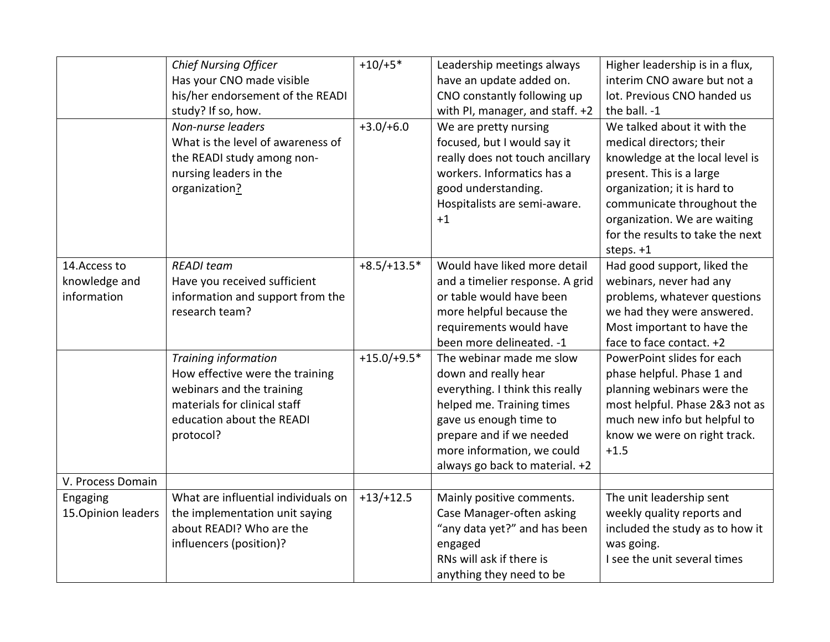|                                                      | <b>Chief Nursing Officer</b><br>Has your CNO made visible<br>his/her endorsement of the READI<br>study? If so, how.<br>Non-nurse leaders<br>What is the level of awareness of<br>the READI study among non-<br>nursing leaders in the<br>organization? | $+10/+5*$<br>$+3.0/+6.0$       | Leadership meetings always<br>have an update added on.<br>CNO constantly following up<br>with PI, manager, and staff. +2<br>We are pretty nursing<br>focused, but I would say it<br>really does not touch ancillary<br>workers. Informatics has a<br>good understanding.<br>Hospitalists are semi-aware.<br>$+1$ | Higher leadership is in a flux,<br>interim CNO aware but not a<br>lot. Previous CNO handed us<br>the ball. -1<br>We talked about it with the<br>medical directors; their<br>knowledge at the local level is<br>present. This is a large<br>organization; it is hard to<br>communicate throughout the<br>organization. We are waiting<br>for the results to take the next |
|------------------------------------------------------|--------------------------------------------------------------------------------------------------------------------------------------------------------------------------------------------------------------------------------------------------------|--------------------------------|------------------------------------------------------------------------------------------------------------------------------------------------------------------------------------------------------------------------------------------------------------------------------------------------------------------|--------------------------------------------------------------------------------------------------------------------------------------------------------------------------------------------------------------------------------------------------------------------------------------------------------------------------------------------------------------------------|
| 14. Access to<br>knowledge and<br>information        | <b>READI</b> team<br>Have you received sufficient<br>information and support from the<br>research team?<br><b>Training information</b><br>How effective were the training                                                                              | $+8.5/+13.5*$<br>$+15.0/+9.5*$ | Would have liked more detail<br>and a timelier response. A grid<br>or table would have been<br>more helpful because the<br>requirements would have<br>been more delineated. -1<br>The webinar made me slow<br>down and really hear                                                                               | steps. $+1$<br>Had good support, liked the<br>webinars, never had any<br>problems, whatever questions<br>we had they were answered.<br>Most important to have the<br>face to face contact. +2<br>PowerPoint slides for each<br>phase helpful. Phase 1 and                                                                                                                |
|                                                      | webinars and the training<br>materials for clinical staff<br>education about the READI<br>protocol?                                                                                                                                                    |                                | everything. I think this really<br>helped me. Training times<br>gave us enough time to<br>prepare and if we needed<br>more information, we could<br>always go back to material. +2                                                                                                                               | planning webinars were the<br>most helpful. Phase 2&3 not as<br>much new info but helpful to<br>know we were on right track.<br>$+1.5$                                                                                                                                                                                                                                   |
| V. Process Domain<br>Engaging<br>15. Opinion leaders | What are influential individuals on<br>the implementation unit saying<br>about READI? Who are the<br>influencers (position)?                                                                                                                           | $+13/+12.5$                    | Mainly positive comments.<br>Case Manager-often asking<br>"any data yet?" and has been<br>engaged<br>RNs will ask if there is<br>anything they need to be                                                                                                                                                        | The unit leadership sent<br>weekly quality reports and<br>included the study as to how it<br>was going.<br>I see the unit several times                                                                                                                                                                                                                                  |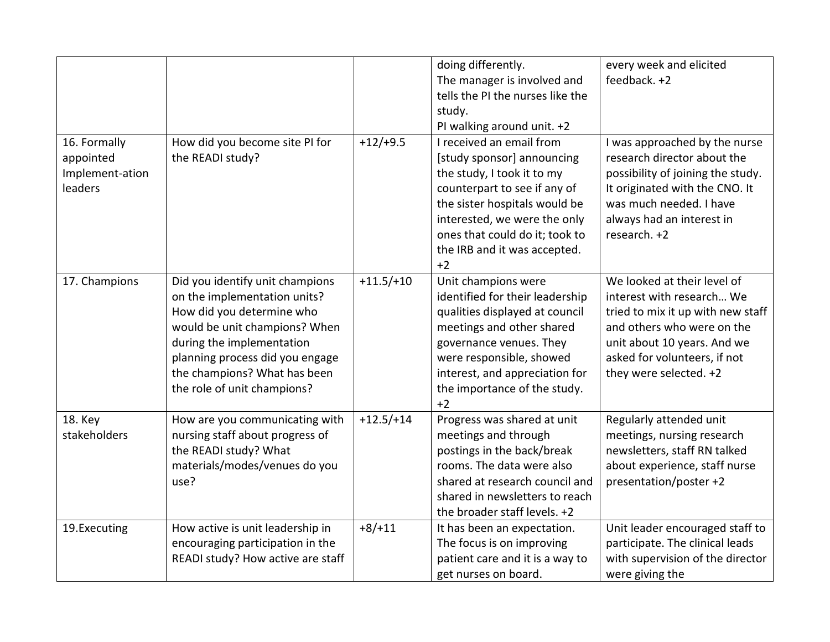|                                                         |                                                                                                                                                                                                                                                              |             | doing differently.<br>The manager is involved and<br>tells the PI the nurses like the<br>study.<br>PI walking around unit. +2                                                                                                                                   | every week and elicited<br>feedback. +2                                                                                                                                                                              |
|---------------------------------------------------------|--------------------------------------------------------------------------------------------------------------------------------------------------------------------------------------------------------------------------------------------------------------|-------------|-----------------------------------------------------------------------------------------------------------------------------------------------------------------------------------------------------------------------------------------------------------------|----------------------------------------------------------------------------------------------------------------------------------------------------------------------------------------------------------------------|
| 16. Formally<br>appointed<br>Implement-ation<br>leaders | How did you become site PI for<br>the READI study?                                                                                                                                                                                                           | $+12/+9.5$  | I received an email from<br>[study sponsor] announcing<br>the study, I took it to my<br>counterpart to see if any of<br>the sister hospitals would be<br>interested, we were the only<br>ones that could do it; took to<br>the IRB and it was accepted.<br>$+2$ | I was approached by the nurse<br>research director about the<br>possibility of joining the study.<br>It originated with the CNO. It<br>was much needed. I have<br>always had an interest in<br>research. +2          |
| 17. Champions                                           | Did you identify unit champions<br>on the implementation units?<br>How did you determine who<br>would be unit champions? When<br>during the implementation<br>planning process did you engage<br>the champions? What has been<br>the role of unit champions? | $+11.5/+10$ | Unit champions were<br>identified for their leadership<br>qualities displayed at council<br>meetings and other shared<br>governance venues. They<br>were responsible, showed<br>interest, and appreciation for<br>the importance of the study.<br>$+2$          | We looked at their level of<br>interest with research We<br>tried to mix it up with new staff<br>and others who were on the<br>unit about 10 years. And we<br>asked for volunteers, if not<br>they were selected. +2 |
| 18. Key<br>stakeholders                                 | How are you communicating with<br>nursing staff about progress of<br>the READI study? What<br>materials/modes/venues do you<br>use?                                                                                                                          | $+12.5/+14$ | Progress was shared at unit<br>meetings and through<br>postings in the back/break<br>rooms. The data were also<br>shared at research council and<br>shared in newsletters to reach<br>the broader staff levels. +2                                              | Regularly attended unit<br>meetings, nursing research<br>newsletters, staff RN talked<br>about experience, staff nurse<br>presentation/poster +2                                                                     |
| 19.Executing                                            | How active is unit leadership in<br>encouraging participation in the<br>READI study? How active are staff                                                                                                                                                    | $+8/+11$    | It has been an expectation.<br>The focus is on improving<br>patient care and it is a way to<br>get nurses on board.                                                                                                                                             | Unit leader encouraged staff to<br>participate. The clinical leads<br>with supervision of the director<br>were giving the                                                                                            |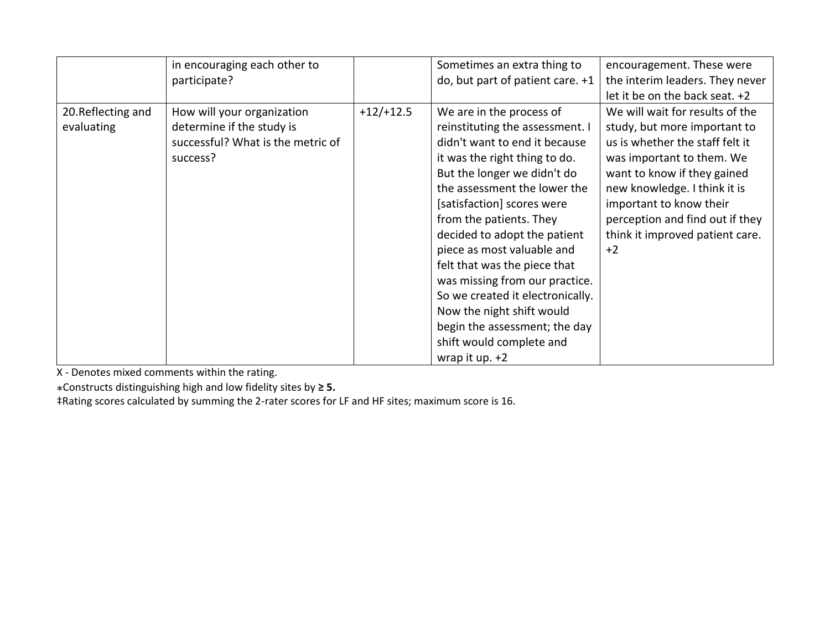|                                  | in encouraging each other to                                                                             |             | Sometimes an extra thing to                                                                                                                                                                                                                                                                                                                                                                                                                                                                                         | encouragement. These were                                                                                                                                                                                                                                                                               |
|----------------------------------|----------------------------------------------------------------------------------------------------------|-------------|---------------------------------------------------------------------------------------------------------------------------------------------------------------------------------------------------------------------------------------------------------------------------------------------------------------------------------------------------------------------------------------------------------------------------------------------------------------------------------------------------------------------|---------------------------------------------------------------------------------------------------------------------------------------------------------------------------------------------------------------------------------------------------------------------------------------------------------|
|                                  | participate?                                                                                             |             | do, but part of patient care. +1                                                                                                                                                                                                                                                                                                                                                                                                                                                                                    | the interim leaders. They never                                                                                                                                                                                                                                                                         |
|                                  |                                                                                                          |             |                                                                                                                                                                                                                                                                                                                                                                                                                                                                                                                     | let it be on the back seat. +2                                                                                                                                                                                                                                                                          |
| 20. Reflecting and<br>evaluating | How will your organization<br>determine if the study is<br>successful? What is the metric of<br>success? | $+12/+12.5$ | We are in the process of<br>reinstituting the assessment. I<br>didn't want to end it because<br>it was the right thing to do.<br>But the longer we didn't do<br>the assessment the lower the<br>[satisfaction] scores were<br>from the patients. They<br>decided to adopt the patient<br>piece as most valuable and<br>felt that was the piece that<br>was missing from our practice.<br>So we created it electronically.<br>Now the night shift would<br>begin the assessment; the day<br>shift would complete and | We will wait for results of the<br>study, but more important to<br>us is whether the staff felt it<br>was important to them. We<br>want to know if they gained<br>new knowledge. I think it is<br>important to know their<br>perception and find out if they<br>think it improved patient care.<br>$+2$ |
|                                  |                                                                                                          |             | wrap it up. $+2$                                                                                                                                                                                                                                                                                                                                                                                                                                                                                                    |                                                                                                                                                                                                                                                                                                         |

X - Denotes mixed comments within the rating.

⁎Constructs distinguishing high and low fidelity sites by **≥ 5.**

‡Rating scores calculated by summing the 2-rater scores for LF and HF sites; maximum score is 16.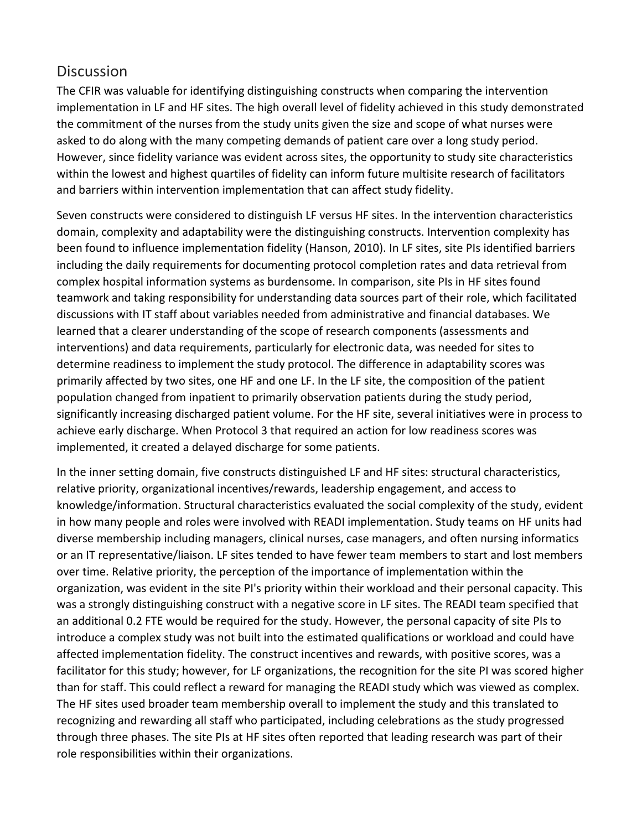# **Discussion**

The CFIR was valuable for identifying distinguishing constructs when comparing the intervention implementation in LF and HF sites. The high overall level of fidelity achieved in this study demonstrated the commitment of the nurses from the study units given the size and scope of what nurses were asked to do along with the many competing demands of patient care over a long study period. However, since fidelity variance was evident across sites, the opportunity to study site characteristics within the lowest and highest quartiles of fidelity can inform future multisite research of facilitators and barriers within intervention implementation that can affect study fidelity.

Seven constructs were considered to distinguish LF versus HF sites. In the intervention characteristics domain, complexity and adaptability were the distinguishing constructs. Intervention complexity has been found to influence implementation fidelity (Hanson, 2010). In LF sites, site PIs identified barriers including the daily requirements for documenting protocol completion rates and data retrieval from complex hospital information systems as burdensome. In comparison, site PIs in HF sites found teamwork and taking responsibility for understanding data sources part of their role, which facilitated discussions with IT staff about variables needed from administrative and financial databases. We learned that a clearer understanding of the scope of research components (assessments and interventions) and data requirements, particularly for electronic data, was needed for sites to determine readiness to implement the study protocol. The difference in adaptability scores was primarily affected by two sites, one HF and one LF. In the LF site, the composition of the patient population changed from inpatient to primarily observation patients during the study period, significantly increasing discharged patient volume. For the HF site, several initiatives were in process to achieve early discharge. When Protocol 3 that required an action for low readiness scores was implemented, it created a delayed discharge for some patients.

In the inner setting domain, five constructs distinguished LF and HF sites: structural characteristics, relative priority, organizational incentives/rewards, leadership engagement, and access to knowledge/information. Structural characteristics evaluated the social complexity of the study, evident in how many people and roles were involved with READI implementation. Study teams on HF units had diverse membership including managers, clinical nurses, case managers, and often nursing informatics or an IT representative/liaison. LF sites tended to have fewer team members to start and lost members over time. Relative priority, the perception of the importance of implementation within the organization, was evident in the site PI's priority within their workload and their personal capacity. This was a strongly distinguishing construct with a negative score in LF sites. The READI team specified that an additional 0.2 FTE would be required for the study. However, the personal capacity of site PIs to introduce a complex study was not built into the estimated qualifications or workload and could have affected implementation fidelity. The construct incentives and rewards, with positive scores, was a facilitator for this study; however, for LF organizations, the recognition for the site PI was scored higher than for staff. This could reflect a reward for managing the READI study which was viewed as complex. The HF sites used broader team membership overall to implement the study and this translated to recognizing and rewarding all staff who participated, including celebrations as the study progressed through three phases. The site PIs at HF sites often reported that leading research was part of their role responsibilities within their organizations.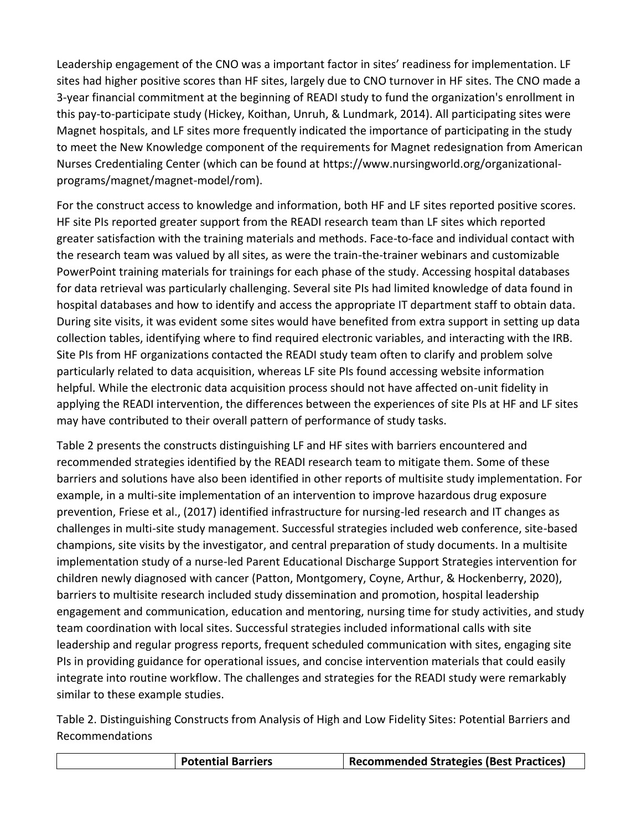Leadership engagement of the CNO was a important factor in sites' readiness for implementation. LF sites had higher positive scores than HF sites, largely due to CNO turnover in HF sites. The CNO made a 3-year financial commitment at the beginning of READI study to fund the organization's enrollment in this pay-to-participate study (Hickey, Koithan, Unruh, & Lundmark, 2014). All participating sites were Magnet hospitals, and LF sites more frequently indicated the importance of participating in the study to meet the New Knowledge component of the requirements for Magnet redesignation from American Nurses Credentialing Center (which can be found at https://www.nursingworld.org/organizationalprograms/magnet/magnet-model/rom).

For the construct access to knowledge and information, both HF and LF sites reported positive scores. HF site PIs reported greater support from the READI research team than LF sites which reported greater satisfaction with the training materials and methods. Face-to-face and individual contact with the research team was valued by all sites, as were the train-the-trainer webinars and customizable PowerPoint training materials for trainings for each phase of the study. Accessing hospital databases for data retrieval was particularly challenging. Several site PIs had limited knowledge of data found in hospital databases and how to identify and access the appropriate IT department staff to obtain data. During site visits, it was evident some sites would have benefited from extra support in setting up data collection tables, identifying where to find required electronic variables, and interacting with the IRB. Site PIs from HF organizations contacted the READI study team often to clarify and problem solve particularly related to data acquisition, whereas LF site PIs found accessing website information helpful. While the electronic data acquisition process should not have affected on-unit fidelity in applying the READI intervention, the differences between the experiences of site PIs at HF and LF sites may have contributed to their overall pattern of performance of study tasks.

Table 2 presents the constructs distinguishing LF and HF sites with barriers encountered and recommended strategies identified by the READI research team to mitigate them. Some of these barriers and solutions have also been identified in other reports of multisite study implementation. For example, in a multi-site implementation of an intervention to improve hazardous drug exposure prevention, Friese et al., (2017) identified infrastructure for nursing-led research and IT changes as challenges in multi-site study management. Successful strategies included web conference, site-based champions, site visits by the investigator, and central preparation of study documents. In a multisite implementation study of a nurse-led Parent Educational Discharge Support Strategies intervention for children newly diagnosed with cancer (Patton, Montgomery, Coyne, Arthur, & Hockenberry, 2020), barriers to multisite research included study dissemination and promotion, hospital leadership engagement and communication, education and mentoring, nursing time for study activities, and study team coordination with local sites. Successful strategies included informational calls with site leadership and regular progress reports, frequent scheduled communication with sites, engaging site PIs in providing guidance for operational issues, and concise intervention materials that could easily integrate into routine workflow. The challenges and strategies for the READI study were remarkably similar to these example studies.

Table 2. Distinguishing Constructs from Analysis of High and Low Fidelity Sites: Potential Barriers and Recommendations

| <b>Potential Barriers</b> | <b>Recommended Strategies (Best Practices)</b> |
|---------------------------|------------------------------------------------|
|---------------------------|------------------------------------------------|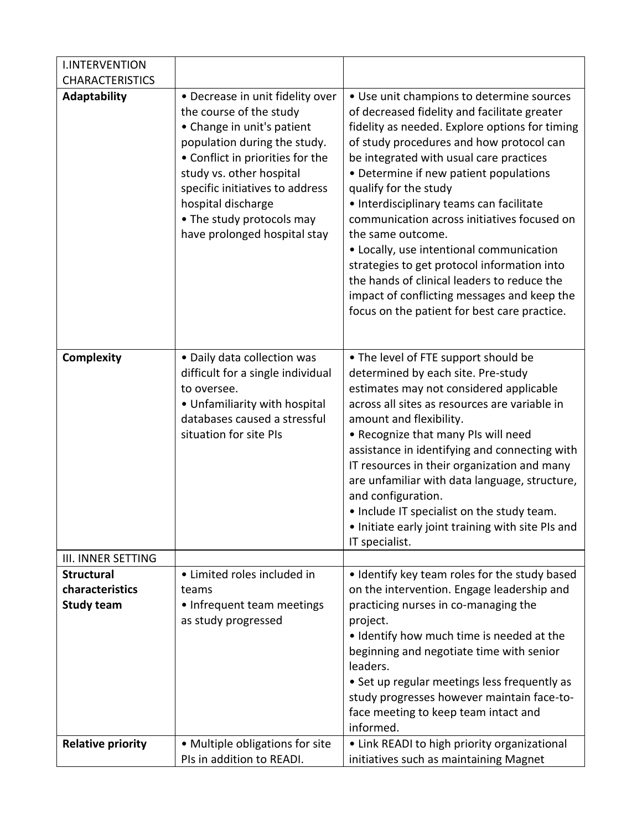| <b>I.INTERVENTION</b>                                     |                                                                                                                                                                                                                                                                                                                 |                                                                                                                                                                                                                                                                                                                                                                                                                                                                                                                                                                                                                                                                |
|-----------------------------------------------------------|-----------------------------------------------------------------------------------------------------------------------------------------------------------------------------------------------------------------------------------------------------------------------------------------------------------------|----------------------------------------------------------------------------------------------------------------------------------------------------------------------------------------------------------------------------------------------------------------------------------------------------------------------------------------------------------------------------------------------------------------------------------------------------------------------------------------------------------------------------------------------------------------------------------------------------------------------------------------------------------------|
| <b>CHARACTERISTICS</b>                                    |                                                                                                                                                                                                                                                                                                                 |                                                                                                                                                                                                                                                                                                                                                                                                                                                                                                                                                                                                                                                                |
| <b>Adaptability</b>                                       | • Decrease in unit fidelity over<br>the course of the study<br>• Change in unit's patient<br>population during the study.<br>• Conflict in priorities for the<br>study vs. other hospital<br>specific initiatives to address<br>hospital discharge<br>• The study protocols may<br>have prolonged hospital stay | • Use unit champions to determine sources<br>of decreased fidelity and facilitate greater<br>fidelity as needed. Explore options for timing<br>of study procedures and how protocol can<br>be integrated with usual care practices<br>• Determine if new patient populations<br>qualify for the study<br>• Interdisciplinary teams can facilitate<br>communication across initiatives focused on<br>the same outcome.<br>• Locally, use intentional communication<br>strategies to get protocol information into<br>the hands of clinical leaders to reduce the<br>impact of conflicting messages and keep the<br>focus on the patient for best care practice. |
| <b>Complexity</b>                                         | • Daily data collection was<br>difficult for a single individual<br>to oversee.<br>• Unfamiliarity with hospital<br>databases caused a stressful<br>situation for site PIs                                                                                                                                      | • The level of FTE support should be<br>determined by each site. Pre-study<br>estimates may not considered applicable<br>across all sites as resources are variable in<br>amount and flexibility.<br>• Recognize that many PIs will need<br>assistance in identifying and connecting with<br>IT resources in their organization and many<br>are unfamiliar with data language, structure,<br>and configuration.<br>• Include IT specialist on the study team.<br>. Initiate early joint training with site PIs and<br>IT specialist.                                                                                                                           |
| <b>III. INNER SETTING</b>                                 |                                                                                                                                                                                                                                                                                                                 |                                                                                                                                                                                                                                                                                                                                                                                                                                                                                                                                                                                                                                                                |
| <b>Structural</b><br>characteristics<br><b>Study team</b> | • Limited roles included in<br>teams<br>• Infrequent team meetings<br>as study progressed                                                                                                                                                                                                                       | • Identify key team roles for the study based<br>on the intervention. Engage leadership and<br>practicing nurses in co-managing the<br>project.<br>. Identify how much time is needed at the<br>beginning and negotiate time with senior<br>leaders.<br>• Set up regular meetings less frequently as<br>study progresses however maintain face-to-<br>face meeting to keep team intact and<br>informed.                                                                                                                                                                                                                                                        |
| <b>Relative priority</b>                                  | • Multiple obligations for site<br>PIs in addition to READI.                                                                                                                                                                                                                                                    | • Link READI to high priority organizational<br>initiatives such as maintaining Magnet                                                                                                                                                                                                                                                                                                                                                                                                                                                                                                                                                                         |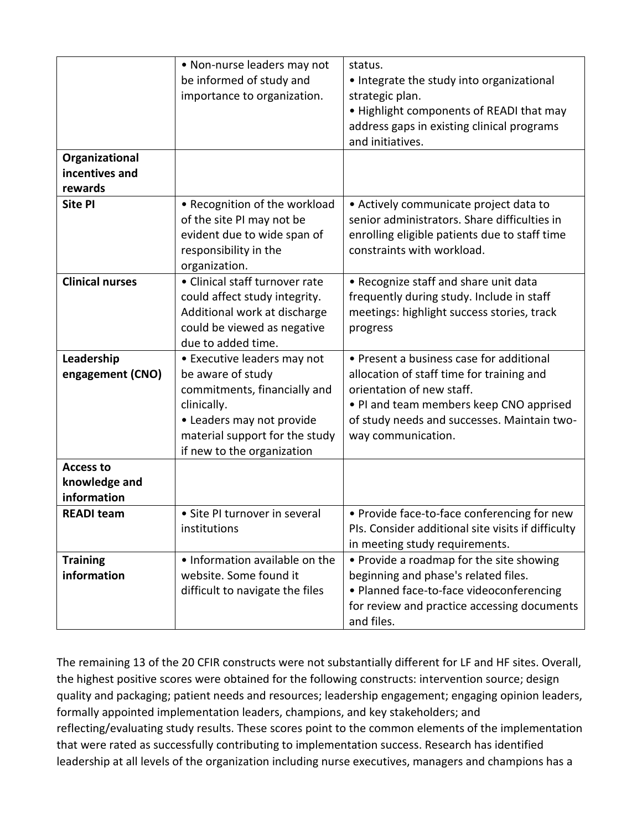|                                                  | • Non-nurse leaders may not<br>be informed of study and<br>importance to organization.                                                                                                       | status.<br>• Integrate the study into organizational<br>strategic plan.<br>• Highlight components of READI that may<br>address gaps in existing clinical programs<br>and initiatives.                                              |
|--------------------------------------------------|----------------------------------------------------------------------------------------------------------------------------------------------------------------------------------------------|------------------------------------------------------------------------------------------------------------------------------------------------------------------------------------------------------------------------------------|
| Organizational                                   |                                                                                                                                                                                              |                                                                                                                                                                                                                                    |
| incentives and                                   |                                                                                                                                                                                              |                                                                                                                                                                                                                                    |
| rewards                                          |                                                                                                                                                                                              |                                                                                                                                                                                                                                    |
| <b>Site PI</b>                                   | • Recognition of the workload<br>of the site PI may not be<br>evident due to wide span of<br>responsibility in the<br>organization.                                                          | • Actively communicate project data to<br>senior administrators. Share difficulties in<br>enrolling eligible patients due to staff time<br>constraints with workload.                                                              |
| <b>Clinical nurses</b>                           | • Clinical staff turnover rate<br>could affect study integrity.<br>Additional work at discharge<br>could be viewed as negative<br>due to added time.                                         | • Recognize staff and share unit data<br>frequently during study. Include in staff<br>meetings: highlight success stories, track<br>progress                                                                                       |
| Leadership<br>engagement (CNO)                   | • Executive leaders may not<br>be aware of study<br>commitments, financially and<br>clinically.<br>• Leaders may not provide<br>material support for the study<br>if new to the organization | • Present a business case for additional<br>allocation of staff time for training and<br>orientation of new staff.<br>. PI and team members keep CNO apprised<br>of study needs and successes. Maintain two-<br>way communication. |
| <b>Access to</b><br>knowledge and<br>information |                                                                                                                                                                                              |                                                                                                                                                                                                                                    |
| <b>READI team</b>                                | • Site PI turnover in several<br>institutions                                                                                                                                                | • Provide face-to-face conferencing for new<br>PIs. Consider additional site visits if difficulty<br>in meeting study requirements.                                                                                                |
| <b>Training</b><br>information                   | . Information available on the<br>website. Some found it<br>difficult to navigate the files                                                                                                  | • Provide a roadmap for the site showing<br>beginning and phase's related files.<br>• Planned face-to-face videoconferencing<br>for review and practice accessing documents<br>and files.                                          |

The remaining 13 of the 20 CFIR constructs were not substantially different for LF and HF sites. Overall, the highest positive scores were obtained for the following constructs: intervention source; design quality and packaging; patient needs and resources; leadership engagement; engaging opinion leaders, formally appointed implementation leaders, champions, and key stakeholders; and reflecting/evaluating study results. These scores point to the common elements of the implementation that were rated as successfully contributing to implementation success. Research has identified leadership at all levels of the organization including nurse executives, managers and champions has a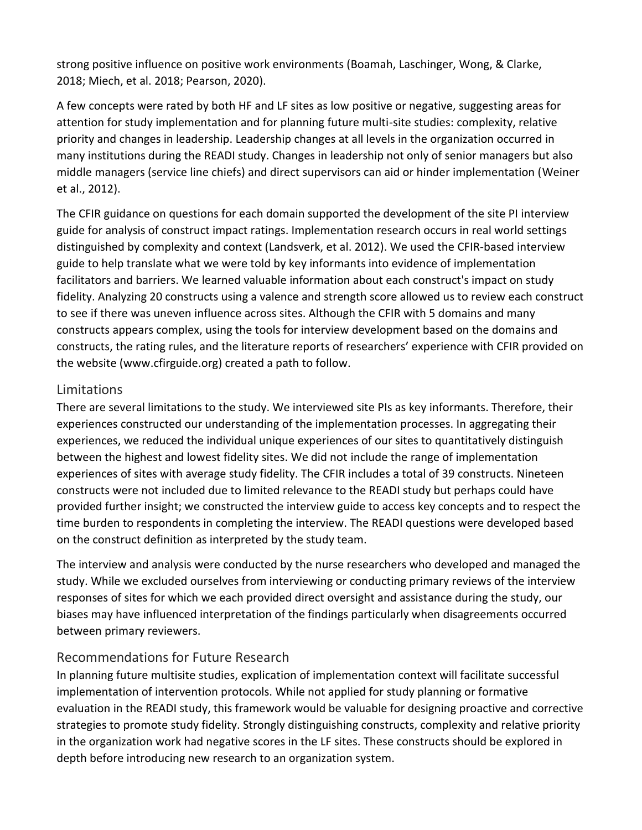strong positive influence on positive work environments (Boamah, Laschinger, Wong, & Clarke, 2018; Miech, et al. 2018; Pearson, 2020).

A few concepts were rated by both HF and LF sites as low positive or negative, suggesting areas for attention for study implementation and for planning future multi-site studies: complexity, relative priority and changes in leadership. Leadership changes at all levels in the organization occurred in many institutions during the READI study. Changes in leadership not only of senior managers but also middle managers (service line chiefs) and direct supervisors can aid or hinder implementation (Weiner et al., 2012).

The CFIR guidance on questions for each domain supported the development of the site PI interview guide for analysis of construct impact ratings. Implementation research occurs in real world settings distinguished by complexity and context (Landsverk, et al. 2012). We used the CFIR-based interview guide to help translate what we were told by key informants into evidence of implementation facilitators and barriers. We learned valuable information about each construct's impact on study fidelity. Analyzing 20 constructs using a valence and strength score allowed us to review each construct to see if there was uneven influence across sites. Although the CFIR with 5 domains and many constructs appears complex, using the tools for interview development based on the domains and constructs, the rating rules, and the literature reports of researchers' experience with CFIR provided on the website (www.cfirguide.org) created a path to follow.

#### Limitations

There are several limitations to the study. We interviewed site PIs as key informants. Therefore, their experiences constructed our understanding of the implementation processes. In aggregating their experiences, we reduced the individual unique experiences of our sites to quantitatively distinguish between the highest and lowest fidelity sites. We did not include the range of implementation experiences of sites with average study fidelity. The CFIR includes a total of 39 constructs. Nineteen constructs were not included due to limited relevance to the READI study but perhaps could have provided further insight; we constructed the interview guide to access key concepts and to respect the time burden to respondents in completing the interview. The READI questions were developed based on the construct definition as interpreted by the study team.

The interview and analysis were conducted by the nurse researchers who developed and managed the study. While we excluded ourselves from interviewing or conducting primary reviews of the interview responses of sites for which we each provided direct oversight and assistance during the study, our biases may have influenced interpretation of the findings particularly when disagreements occurred between primary reviewers.

# Recommendations for Future Research

In planning future multisite studies, explication of implementation context will facilitate successful implementation of intervention protocols. While not applied for study planning or formative evaluation in the READI study, this framework would be valuable for designing proactive and corrective strategies to promote study fidelity. Strongly distinguishing constructs, complexity and relative priority in the organization work had negative scores in the LF sites. These constructs should be explored in depth before introducing new research to an organization system.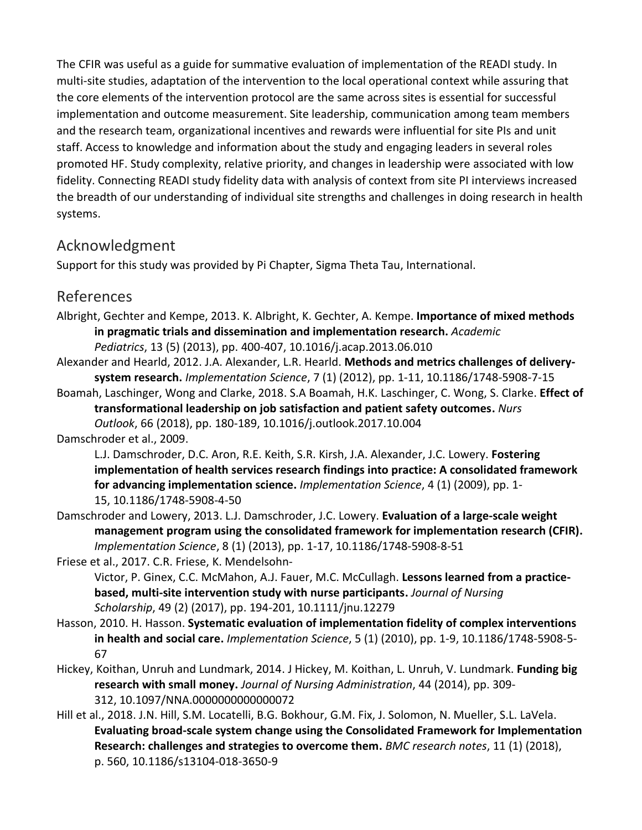The CFIR was useful as a guide for summative evaluation of implementation of the READI study. In multi-site studies, adaptation of the intervention to the local operational context while assuring that the core elements of the intervention protocol are the same across sites is essential for successful implementation and outcome measurement. Site leadership, communication among team members and the research team, organizational incentives and rewards were influential for site PIs and unit staff. Access to knowledge and information about the study and engaging leaders in several roles promoted HF. Study complexity, relative priority, and changes in leadership were associated with low fidelity. Connecting READI study fidelity data with analysis of context from site PI interviews increased the breadth of our understanding of individual site strengths and challenges in doing research in health systems.

# Acknowledgment

Support for this study was provided by Pi Chapter, Sigma Theta Tau, International.

# References

- Albright, Gechter and Kempe, 2013. K. Albright, K. Gechter, A. Kempe. **Importance of mixed methods in pragmatic trials and dissemination and implementation research.** *Academic Pediatrics*, 13 (5) (2013), pp. 400-407, 10.1016/j.acap.2013.06.010
- Alexander and Hearld, 2012. J.A. Alexander, L.R. Hearld. **Methods and metrics challenges of deliverysystem research.** *Implementation Science*, 7 (1) (2012), pp. 1-11, 10.1186/1748-5908-7-15
- Boamah, Laschinger, Wong and Clarke, 2018. S.A Boamah, H.K. Laschinger, C. Wong, S. Clarke. **Effect of transformational leadership on job satisfaction and patient safety outcomes.** *Nurs*

*Outlook*, 66 (2018), pp. 180-189, 10.1016/j.outlook.2017.10.004

#### Damschroder et al., 2009.

L.J. Damschroder, D.C. Aron, R.E. Keith, S.R. Kirsh, J.A. Alexander, J.C. Lowery. **Fostering implementation of health services research findings into practice: A consolidated framework for advancing implementation science.** *Implementation Science*, 4 (1) (2009), pp. 1- 15, 10.1186/1748-5908-4-50

- Damschroder and Lowery, 2013. L.J. Damschroder, J.C. Lowery. **Evaluation of a large-scale weight management program using the consolidated framework for implementation research (CFIR).**  *Implementation Science*, 8 (1) (2013), pp. 1-17, 10.1186/1748-5908-8-51
- Friese et al., 2017. C.R. Friese, K. Mendelsohn-

Victor, P. Ginex, C.C. McMahon, A.J. Fauer, M.C. McCullagh. **Lessons learned from a practicebased, multi-site intervention study with nurse participants.** *Journal of Nursing Scholarship*, 49 (2) (2017), pp. 194-201, 10.1111/jnu.12279

- Hasson, 2010. H. Hasson. **Systematic evaluation of implementation fidelity of complex interventions in health and social care.** *Implementation Science*, 5 (1) (2010), pp. 1-9, 10.1186/1748-5908-5- 67
- Hickey, Koithan, Unruh and Lundmark, 2014. J Hickey, M. Koithan, L. Unruh, V. Lundmark. **Funding big research with small money.** *Journal of Nursing Administration*, 44 (2014), pp. 309- 312, 10.1097/NNA.0000000000000072
- Hill et al., 2018. J.N. Hill, S.M. Locatelli, B.G. Bokhour, G.M. Fix, J. Solomon, N. Mueller, S.L. LaVela. **Evaluating broad-scale system change using the Consolidated Framework for Implementation Research: challenges and strategies to overcome them.** *BMC research notes*, 11 (1) (2018), p. 560, 10.1186/s13104-018-3650-9